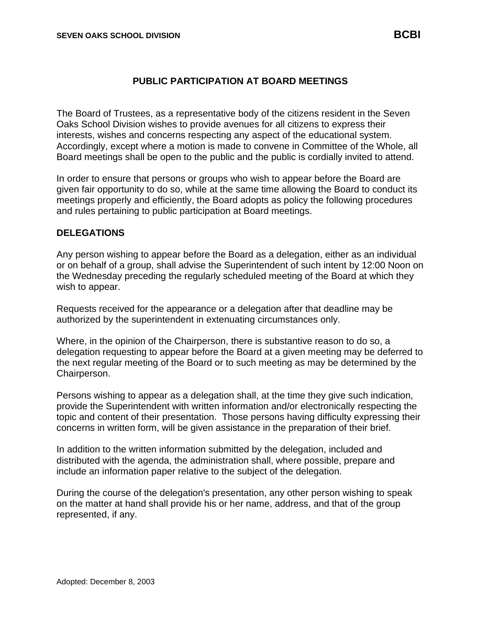## **PUBLIC PARTICIPATION AT BOARD MEETINGS**

The Board of Trustees, as a representative body of the citizens resident in the Seven Oaks School Division wishes to provide avenues for all citizens to express their interests, wishes and concerns respecting any aspect of the educational system. Accordingly, except where a motion is made to convene in Committee of the Whole, all Board meetings shall be open to the public and the public is cordially invited to attend.

In order to ensure that persons or groups who wish to appear before the Board are given fair opportunity to do so, while at the same time allowing the Board to conduct its meetings properly and efficiently, the Board adopts as policy the following procedures and rules pertaining to public participation at Board meetings.

## **DELEGATIONS**

Any person wishing to appear before the Board as a delegation, either as an individual or on behalf of a group, shall advise the Superintendent of such intent by 12:00 Noon on the Wednesday preceding the regularly scheduled meeting of the Board at which they wish to appear.

Requests received for the appearance or a delegation after that deadline may be authorized by the superintendent in extenuating circumstances only.

Where, in the opinion of the Chairperson, there is substantive reason to do so, a delegation requesting to appear before the Board at a given meeting may be deferred to the next regular meeting of the Board or to such meeting as may be determined by the Chairperson.

Persons wishing to appear as a delegation shall, at the time they give such indication, provide the Superintendent with written information and/or electronically respecting the topic and content of their presentation. Those persons having difficulty expressing their concerns in written form, will be given assistance in the preparation of their brief.

In addition to the written information submitted by the delegation, included and distributed with the agenda, the administration shall, where possible, prepare and include an information paper relative to the subject of the delegation.

During the course of the delegation's presentation, any other person wishing to speak on the matter at hand shall provide his or her name, address, and that of the group represented, if any.